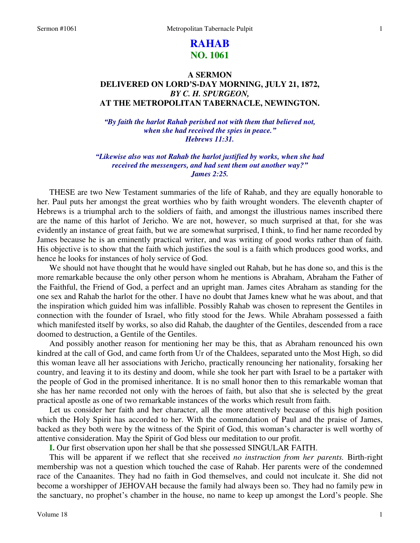# **RAHAB NO. 1061**

## **A SERMON DELIVERED ON LORD'S-DAY MORNING, JULY 21, 1872,**  *BY C. H. SPURGEON,*  **AT THE METROPOLITAN TABERNACLE, NEWINGTON.**

*"By faith the harlot Rahab perished not with them that believed not, when she had received the spies in peace." Hebrews 11:31.* 

*"Likewise also was not Rahab the harlot justified by works, when she had received the messengers, and had sent them out another way?" James 2:25.* 

THESE are two New Testament summaries of the life of Rahab, and they are equally honorable to her. Paul puts her amongst the great worthies who by faith wrought wonders. The eleventh chapter of Hebrews is a triumphal arch to the soldiers of faith, and amongst the illustrious names inscribed there are the name of this harlot of Jericho. We are not, however, so much surprised at that, for she was evidently an instance of great faith, but we are somewhat surprised, I think, to find her name recorded by James because he is an eminently practical writer, and was writing of good works rather than of faith. His objective is to show that the faith which justifies the soul is a faith which produces good works, and hence he looks for instances of holy service of God.

We should not have thought that he would have singled out Rahab, but he has done so, and this is the more remarkable because the only other person whom he mentions is Abraham, Abraham the Father of the Faithful, the Friend of God, a perfect and an upright man. James cites Abraham as standing for the one sex and Rahab the harlot for the other. I have no doubt that James knew what he was about, and that the inspiration which guided him was infallible. Possibly Rahab was chosen to represent the Gentiles in connection with the founder of Israel, who fitly stood for the Jews. While Abraham possessed a faith which manifested itself by works, so also did Rahab, the daughter of the Gentiles, descended from a race doomed to destruction, a Gentile of the Gentiles.

And possibly another reason for mentioning her may be this, that as Abraham renounced his own kindred at the call of God, and came forth from Ur of the Chaldees, separated unto the Most High, so did this woman leave all her associations with Jericho, practically renouncing her nationality, forsaking her country, and leaving it to its destiny and doom, while she took her part with Israel to be a partaker with the people of God in the promised inheritance. It is no small honor then to this remarkable woman that she has her name recorded not only with the heroes of faith, but also that she is selected by the great practical apostle as one of two remarkable instances of the works which result from faith.

Let us consider her faith and her character, all the more attentively because of this high position which the Holy Spirit has accorded to her. With the commendation of Paul and the praise of James, backed as they both were by the witness of the Spirit of God, this woman's character is well worthy of attentive consideration. May the Spirit of God bless our meditation to our profit.

**I.** Our first observation upon her shall be that she possessed SINGULAR FAITH.

This will be apparent if we reflect that she received *no instruction from her parents.* Birth-right membership was not a question which touched the case of Rahab. Her parents were of the condemned race of the Canaanites. They had no faith in God themselves, and could not inculcate it. She did not become a worshipper of JEHOVAH because the family had always been so. They had no family pew in the sanctuary, no prophet's chamber in the house, no name to keep up amongst the Lord's people. She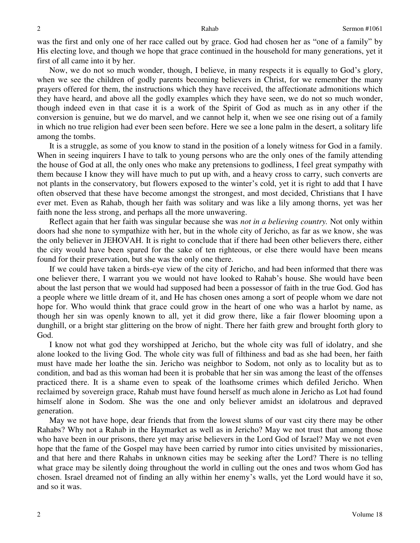was the first and only one of her race called out by grace. God had chosen her as "one of a family" by His electing love, and though we hope that grace continued in the household for many generations, yet it first of all came into it by her.

Now, we do not so much wonder, though, I believe, in many respects it is equally to God's glory, when we see the children of godly parents becoming believers in Christ, for we remember the many prayers offered for them, the instructions which they have received, the affectionate admonitions which they have heard, and above all the godly examples which they have seen, we do not so much wonder, though indeed even in that case it is a work of the Spirit of God as much as in any other if the conversion is genuine, but we do marvel, and we cannot help it, when we see one rising out of a family in which no true religion had ever been seen before. Here we see a lone palm in the desert, a solitary life among the tombs.

It is a struggle, as some of you know to stand in the position of a lonely witness for God in a family. When in seeing inquirers I have to talk to young persons who are the only ones of the family attending the house of God at all, the only ones who make any pretensions to godliness, I feel great sympathy with them because I know they will have much to put up with, and a heavy cross to carry, such converts are not plants in the conservatory, but flowers exposed to the winter's cold, yet it is right to add that I have often observed that these have become amongst the strongest, and most decided, Christians that I have ever met. Even as Rahab, though her faith was solitary and was like a lily among thorns, yet was her faith none the less strong, and perhaps all the more unwavering.

Reflect again that her faith was singular because she was *not in a believing country.* Not only within doors had she none to sympathize with her, but in the whole city of Jericho, as far as we know, she was the only believer in JEHOVAH. It is right to conclude that if there had been other believers there, either the city would have been spared for the sake of ten righteous, or else there would have been means found for their preservation, but she was the only one there.

If we could have taken a birds-eye view of the city of Jericho, and had been informed that there was one believer there, I warrant you we would not have looked to Rahab's house. She would have been about the last person that we would had supposed had been a possessor of faith in the true God. God has a people where we little dream of it, and He has chosen ones among a sort of people whom we dare not hope for. Who would think that grace could grow in the heart of one who was a harlot by name, as though her sin was openly known to all, yet it did grow there, like a fair flower blooming upon a dunghill, or a bright star glittering on the brow of night. There her faith grew and brought forth glory to God.

I know not what god they worshipped at Jericho, but the whole city was full of idolatry, and she alone looked to the living God. The whole city was full of filthiness and bad as she had been, her faith must have made her loathe the sin. Jericho was neighbor to Sodom, not only as to locality but as to condition, and bad as this woman had been it is probable that her sin was among the least of the offenses practiced there. It is a shame even to speak of the loathsome crimes which defiled Jericho. When reclaimed by sovereign grace, Rahab must have found herself as much alone in Jericho as Lot had found himself alone in Sodom. She was the one and only believer amidst an idolatrous and depraved generation.

May we not have hope, dear friends that from the lowest slums of our vast city there may be other Rahabs? Why not a Rahab in the Haymarket as well as in Jericho? May we not trust that among those who have been in our prisons, there yet may arise believers in the Lord God of Israel? May we not even hope that the fame of the Gospel may have been carried by rumor into cities unvisited by missionaries, and that here and there Rahabs in unknown cities may be seeking after the Lord? There is no telling what grace may be silently doing throughout the world in culling out the ones and twos whom God has chosen. Israel dreamed not of finding an ally within her enemy's walls, yet the Lord would have it so, and so it was.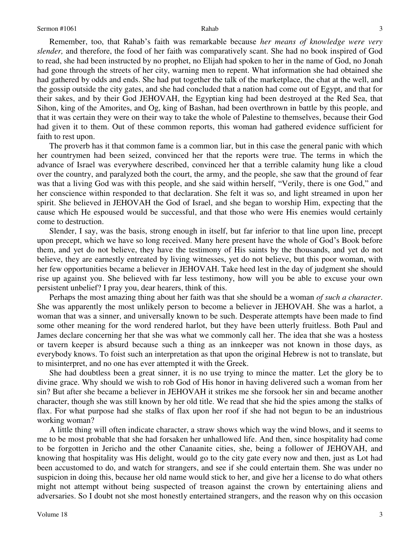Remember, too, that Rahab's faith was remarkable because *her means of knowledge were very slender,* and therefore, the food of her faith was comparatively scant. She had no book inspired of God

to read, she had been instructed by no prophet, no Elijah had spoken to her in the name of God, no Jonah had gone through the streets of her city, warning men to repent. What information she had obtained she had gathered by odds and ends. She had put together the talk of the marketplace, the chat at the well, and the gossip outside the city gates, and she had concluded that a nation had come out of Egypt, and that for their sakes, and by their God JEHOVAH, the Egyptian king had been destroyed at the Red Sea, that Sihon, king of the Amorites, and Og, king of Bashan, had been overthrown in battle by this people, and that it was certain they were on their way to take the whole of Palestine to themselves, because their God had given it to them. Out of these common reports, this woman had gathered evidence sufficient for faith to rest upon.

The proverb has it that common fame is a common liar, but in this case the general panic with which her countrymen had been seized, convinced her that the reports were true. The terms in which the advance of Israel was everywhere described, convinced her that a terrible calamity hung like a cloud over the country, and paralyzed both the court, the army, and the people, she saw that the ground of fear was that a living God was with this people, and she said within herself, "Verily, there is one God," and her conscience within responded to that declaration. She felt it was so, and light streamed in upon her spirit. She believed in JEHOVAH the God of Israel, and she began to worship Him, expecting that the cause which He espoused would be successful, and that those who were His enemies would certainly come to destruction.

Slender, I say, was the basis, strong enough in itself, but far inferior to that line upon line, precept upon precept, which we have so long received. Many here present have the whole of God's Book before them, and yet do not believe, they have the testimony of His saints by the thousands, and yet do not believe, they are earnestly entreated by living witnesses, yet do not believe, but this poor woman, with her few opportunities became a believer in JEHOVAH. Take heed lest in the day of judgment she should rise up against you. She believed with far less testimony, how will you be able to excuse your own persistent unbelief? I pray you, dear hearers, think of this.

Perhaps the most amazing thing about her faith was that she should be a woman *of such a character*. She was apparently the most unlikely person to become a believer in JEHOVAH. She was a harlot, a woman that was a sinner, and universally known to be such. Desperate attempts have been made to find some other meaning for the word rendered harlot, but they have been utterly fruitless. Both Paul and James declare concerning her that she was what we commonly call her. The idea that she was a hostess or tavern keeper is absurd because such a thing as an innkeeper was not known in those days, as everybody knows. To foist such an interpretation as that upon the original Hebrew is not to translate, but to misinterpret, and no one has ever attempted it with the Greek.

She had doubtless been a great sinner, it is no use trying to mince the matter. Let the glory be to divine grace. Why should we wish to rob God of His honor in having delivered such a woman from her sin? But after she became a believer in JEHOVAH it strikes me she forsook her sin and became another character, though she was still known by her old title. We read that she hid the spies among the stalks of flax. For what purpose had she stalks of flax upon her roof if she had not begun to be an industrious working woman?

A little thing will often indicate character, a straw shows which way the wind blows, and it seems to me to be most probable that she had forsaken her unhallowed life. And then, since hospitality had come to be forgotten in Jericho and the other Canaanite cities, she, being a follower of JEHOVAH, and knowing that hospitality was His delight, would go to the city gate every now and then, just as Lot had been accustomed to do, and watch for strangers, and see if she could entertain them. She was under no suspicion in doing this, because her old name would stick to her, and give her a license to do what others might not attempt without being suspected of treason against the crown by entertaining aliens and adversaries. So I doubt not she most honestly entertained strangers, and the reason why on this occasion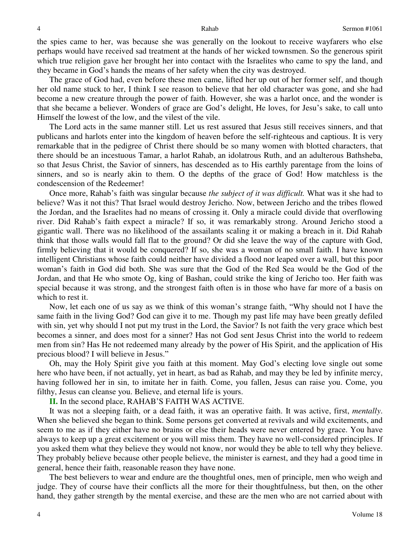the spies came to her, was because she was generally on the lookout to receive wayfarers who else perhaps would have received sad treatment at the hands of her wicked townsmen. So the generous spirit which true religion gave her brought her into contact with the Israelites who came to spy the land, and they became in God's hands the means of her safety when the city was destroyed.

The grace of God had, even before these men came, lifted her up out of her former self, and though her old name stuck to her, I think I see reason to believe that her old character was gone, and she had become a new creature through the power of faith. However, she was a harlot once, and the wonder is that she became a believer. Wonders of grace are God's delight, He loves, for Jesu's sake, to call unto Himself the lowest of the low, and the vilest of the vile.

The Lord acts in the same manner still. Let us rest assured that Jesus still receives sinners, and that publicans and harlots enter into the kingdom of heaven before the self-righteous and captious. It is very remarkable that in the pedigree of Christ there should be so many women with blotted characters, that there should be an incestuous Tamar, a harlot Rahab, an idolatrous Ruth, and an adulterous Bathsheba, so that Jesus Christ, the Savior of sinners, has descended as to His earthly parentage from the loins of sinners, and so is nearly akin to them. O the depths of the grace of God! How matchless is the condescension of the Redeemer!

Once more, Rahab's faith was singular because *the subject of it was difficult.* What was it she had to believe? Was it not this? That Israel would destroy Jericho. Now, between Jericho and the tribes flowed the Jordan, and the Israelites had no means of crossing it. Only a miracle could divide that overflowing river. Did Rahab's faith expect a miracle? If so, it was remarkably strong. Around Jericho stood a gigantic wall. There was no likelihood of the assailants scaling it or making a breach in it. Did Rahab think that those walls would fall flat to the ground? Or did she leave the way of the capture with God, firmly believing that it would be conquered? If so, she was a woman of no small faith. I have known intelligent Christians whose faith could neither have divided a flood nor leaped over a wall, but this poor woman's faith in God did both. She was sure that the God of the Red Sea would be the God of the Jordan, and that He who smote Og, king of Bashan, could strike the king of Jericho too. Her faith was special because it was strong, and the strongest faith often is in those who have far more of a basis on which to rest it.

Now, let each one of us say as we think of this woman's strange faith, "Why should not I have the same faith in the living God? God can give it to me. Though my past life may have been greatly defiled with sin, yet why should I not put my trust in the Lord, the Savior? Is not faith the very grace which best becomes a sinner, and does most for a sinner? Has not God sent Jesus Christ into the world to redeem men from sin? Has He not redeemed many already by the power of His Spirit, and the application of His precious blood? I will believe in Jesus."

Oh, may the Holy Spirit give you faith at this moment. May God's electing love single out some here who have been, if not actually, yet in heart, as bad as Rahab, and may they be led by infinite mercy, having followed her in sin, to imitate her in faith. Come, you fallen, Jesus can raise you. Come, you filthy, Jesus can cleanse you. Believe, and eternal life is yours.

**II.** In the second place, RAHAB'S FAITH WAS ACTIVE.

It was not a sleeping faith, or a dead faith, it was an operative faith. It was active, first, *mentally*. When she believed she began to think. Some persons get converted at revivals and wild excitements, and seem to me as if they either have no brains or else their heads were never entered by grace. You have always to keep up a great excitement or you will miss them. They have no well-considered principles. If you asked them what they believe they would not know, nor would they be able to tell why they believe. They probably believe because other people believe, the minister is earnest, and they had a good time in general, hence their faith, reasonable reason they have none.

The best believers to wear and endure are the thoughtful ones, men of principle, men who weigh and judge. They of course have their conflicts all the more for their thoughtfulness, but then, on the other hand, they gather strength by the mental exercise, and these are the men who are not carried about with

4

4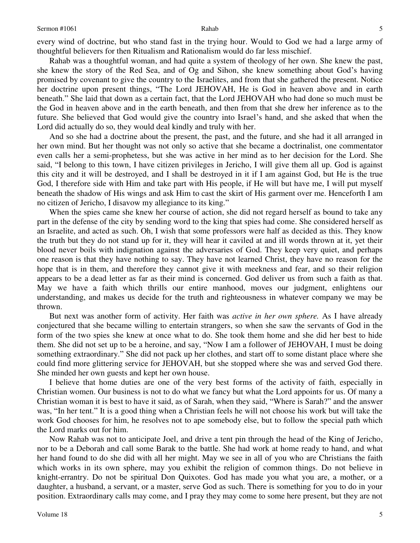every wind of doctrine, but who stand fast in the trying hour. Would to God we had a large army of thoughtful believers for then Ritualism and Rationalism would do far less mischief.

Rahab was a thoughtful woman, and had quite a system of theology of her own. She knew the past, she knew the story of the Red Sea, and of Og and Sihon, she knew something about God's having promised by covenant to give the country to the Israelites, and from that she gathered the present. Notice her doctrine upon present things, "The Lord JEHOVAH, He is God in heaven above and in earth beneath." She laid that down as a certain fact, that the Lord JEHOVAH who had done so much must be the God in heaven above and in the earth beneath, and then from that she drew her inference as to the future. She believed that God would give the country into Israel's hand, and she asked that when the Lord did actually do so, they would deal kindly and truly with her.

And so she had a doctrine about the present, the past, and the future, and she had it all arranged in her own mind. But her thought was not only so active that she became a doctrinalist, one commentator even calls her a semi-prophetess, but she was active in her mind as to her decision for the Lord. She said, "I belong to this town, I have citizen privileges in Jericho, I will give them all up. God is against this city and it will be destroyed, and I shall be destroyed in it if I am against God, but He is the true God, I therefore side with Him and take part with His people, if He will but have me, I will put myself beneath the shadow of His wings and ask Him to cast the skirt of His garment over me. Henceforth I am no citizen of Jericho, I disavow my allegiance to its king."

When the spies came she knew her course of action, she did not regard herself as bound to take any part in the defense of the city by sending word to the king that spies had come. She considered herself as an Israelite, and acted as such. Oh, I wish that some professors were half as decided as this. They know the truth but they do not stand up for it, they will hear it caviled at and ill words thrown at it, yet their blood never boils with indignation against the adversaries of God. They keep very quiet, and perhaps one reason is that they have nothing to say. They have not learned Christ, they have no reason for the hope that is in them, and therefore they cannot give it with meekness and fear, and so their religion appears to be a dead letter as far as their mind is concerned. God deliver us from such a faith as that. May we have a faith which thrills our entire manhood, moves our judgment, enlightens our understanding, and makes us decide for the truth and righteousness in whatever company we may be thrown.

But next was another form of activity. Her faith was *active in her own sphere.* As I have already conjectured that she became willing to entertain strangers, so when she saw the servants of God in the form of the two spies she knew at once what to do. She took them home and she did her best to hide them. She did not set up to be a heroine, and say, "Now I am a follower of JEHOVAH, I must be doing something extraordinary." She did not pack up her clothes, and start off to some distant place where she could find more glittering service for JEHOVAH, but she stopped where she was and served God there. She minded her own guests and kept her own house.

I believe that home duties are one of the very best forms of the activity of faith, especially in Christian women. Our business is not to do what we fancy but what the Lord appoints for us. Of many a Christian woman it is best to have it said, as of Sarah, when they said, "Where is Sarah?" and the answer was, "In her tent." It is a good thing when a Christian feels he will not choose his work but will take the work God chooses for him, he resolves not to ape somebody else, but to follow the special path which the Lord marks out for him.

Now Rahab was not to anticipate Joel, and drive a tent pin through the head of the King of Jericho, nor to be a Deborah and call some Barak to the battle. She had work at home ready to hand, and what her hand found to do she did with all her might. May we see in all of you who are Christians the faith which works in its own sphere, may you exhibit the religion of common things. Do not believe in knight-errantry. Do not be spiritual Don Quixotes. God has made you what you are, a mother, or a daughter, a husband, a servant, or a master, serve God as such. There is something for you to do in your position. Extraordinary calls may come, and I pray they may come to some here present, but they are not

5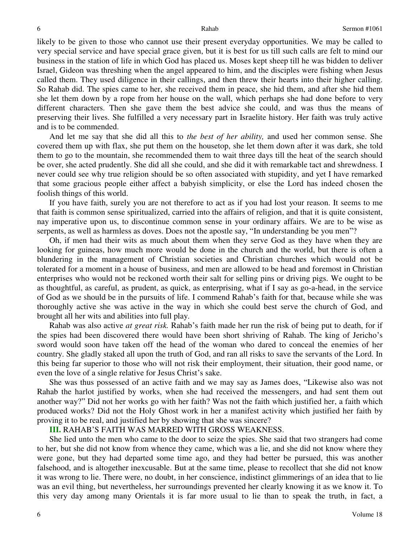likely to be given to those who cannot use their present everyday opportunities. We may be called to very special service and have special grace given, but it is best for us till such calls are felt to mind our business in the station of life in which God has placed us. Moses kept sheep till he was bidden to deliver Israel, Gideon was threshing when the angel appeared to him, and the disciples were fishing when Jesus called them. They used diligence in their callings, and then threw their hearts into their higher calling. So Rahab did. The spies came to her, she received them in peace, she hid them, and after she hid them she let them down by a rope from her house on the wall, which perhaps she had done before to very different characters. Then she gave them the best advice she could, and was thus the means of preserving their lives. She fulfilled a very necessary part in Israelite history. Her faith was truly active and is to be commended.

And let me say that she did all this to *the best of her ability,* and used her common sense. She covered them up with flax, she put them on the housetop, she let them down after it was dark, she told them to go to the mountain, she recommended them to wait three days till the heat of the search should be over, she acted prudently. She did all she could, and she did it with remarkable tact and shrewdness. I never could see why true religion should be so often associated with stupidity, and yet I have remarked that some gracious people either affect a babyish simplicity, or else the Lord has indeed chosen the foolish things of this world.

If you have faith, surely you are not therefore to act as if you had lost your reason. It seems to me that faith is common sense spiritualized, carried into the affairs of religion, and that it is quite consistent, nay imperative upon us, to discontinue common sense in your ordinary affairs. We are to be wise as serpents, as well as harmless as doves. Does not the apostle say, "In understanding be you men"?

Oh, if men had their wits as much about them when they serve God as they have when they are looking for guineas, how much more would be done in the church and the world, but there is often a blundering in the management of Christian societies and Christian churches which would not be tolerated for a moment in a house of business, and men are allowed to be head and foremost in Christian enterprises who would not be reckoned worth their salt for selling pins or driving pigs. We ought to be as thoughtful, as careful, as prudent, as quick, as enterprising, what if I say as go-a-head, in the service of God as we should be in the pursuits of life. I commend Rahab's faith for that, because while she was thoroughly active she was active in the way in which she could best serve the church of God, and brought all her wits and abilities into full play.

Rahab was also active *at great risk.* Rahab's faith made her run the risk of being put to death, for if the spies had been discovered there would have been short shriving of Rahab. The king of Jericho's sword would soon have taken off the head of the woman who dared to conceal the enemies of her country. She gladly staked all upon the truth of God, and ran all risks to save the servants of the Lord. In this being far superior to those who will not risk their employment, their situation, their good name, or even the love of a single relative for Jesus Christ's sake.

She was thus possessed of an active faith and we may say as James does, "Likewise also was not Rahab the harlot justified by works, when she had received the messengers, and had sent them out another way?" Did not her works go with her faith? Was not the faith which justified her, a faith which produced works? Did not the Holy Ghost work in her a manifest activity which justified her faith by proving it to be real, and justified her by showing that she was sincere?

### **III.** RAHAB'S FAITH WAS MARRED WITH GROSS WEAKNESS.

She lied unto the men who came to the door to seize the spies. She said that two strangers had come to her, but she did not know from whence they came, which was a lie, and she did not know where they were gone, but they had departed some time ago, and they had better be pursued, this was another falsehood, and is altogether inexcusable. But at the same time, please to recollect that she did not know it was wrong to lie. There were, no doubt, in her conscience, indistinct glimmerings of an idea that to lie was an evil thing, but nevertheless, her surroundings prevented her clearly knowing it as we know it. To this very day among many Orientals it is far more usual to lie than to speak the truth, in fact, a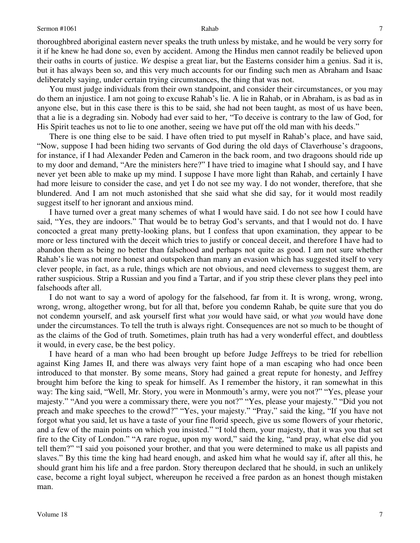thoroughbred aboriginal eastern never speaks the truth unless by mistake, and he would be very sorry for it if he knew he had done so, even by accident. Among the Hindus men cannot readily be believed upon their oaths in courts of justice. *We* despise a great liar, but the Easterns consider him a genius. Sad it is, but it has always been so, and this very much accounts for our finding such men as Abraham and Isaac deliberately saying, under certain trying circumstances, the thing that was not.

You must judge individuals from their own standpoint, and consider their circumstances, or you may do them an injustice. I am not going to excuse Rahab's lie. A lie in Rahab, or in Abraham, is as bad as in anyone else, but in this case there is this to be said, she had not been taught, as most of us have been, that a lie is a degrading sin. Nobody had ever said to her, "To deceive is contrary to the law of God, for His Spirit teaches us not to lie to one another, seeing we have put off the old man with his deeds."

There is one thing else to be said. I have often tried to put myself in Rahab's place, and have said, "Now, suppose I had been hiding two servants of God during the old days of Claverhouse's dragoons, for instance, if I had Alexander Peden and Cameron in the back room, and two dragoons should ride up to my door and demand, "Are the ministers here?" I have tried to imagine what I should say, and I have never yet been able to make up my mind. I suppose I have more light than Rahab, and certainly I have had more leisure to consider the case, and yet I do not see my way. I do not wonder, therefore, that she blundered. And I am not much astonished that she said what she did say, for it would most readily suggest itself to her ignorant and anxious mind.

I have turned over a great many schemes of what I would have said. I do not see how I could have said, "Yes, they are indoors." That would be to betray God's servants, and that I would not do. I have concocted a great many pretty-looking plans, but I confess that upon examination, they appear to be more or less tinctured with the deceit which tries to justify or conceal deceit, and therefore I have had to abandon them as being no better than falsehood and perhaps not quite as good. I am not sure whether Rahab's lie was not more honest and outspoken than many an evasion which has suggested itself to very clever people, in fact, as a rule, things which are not obvious, and need cleverness to suggest them, are rather suspicious. Strip a Russian and you find a Tartar, and if you strip these clever plans they peel into falsehoods after all.

I do not want to say a word of apology for the falsehood, far from it. It is wrong, wrong, wrong, wrong, wrong, altogether wrong, but for all that, before you condemn Rahab, be quite sure that you do not condemn yourself, and ask yourself first what *you* would have said, or what *you* would have done under the circumstances. To tell the truth is always right. Consequences are not so much to be thought of as the claims of the God of truth. Sometimes, plain truth has had a very wonderful effect, and doubtless it would, in every case, be the best policy.

I have heard of a man who had been brought up before Judge Jeffreys to be tried for rebellion against King James II, and there was always very faint hope of a man escaping who had once been introduced to that monster. By some means, Story had gained a great repute for honesty, and Jeffrey brought him before the king to speak for himself. As I remember the history, it ran somewhat in this way: The king said, "Well, Mr. Story, you were in Monmouth's army, were you not?" "Yes, please your majesty." "And you were a commissary there, were you not?" "Yes, please your majesty." "Did you not preach and make speeches to the crowd?" "Yes, your majesty." "Pray," said the king, "If you have not forgot what you said, let us have a taste of your fine florid speech, give us some flowers of your rhetoric, and a few of the main points on which you insisted." "I told them, your majesty, that it was you that set fire to the City of London." "A rare rogue, upon my word," said the king, "and pray, what else did you tell them?" "I said you poisoned your brother, and that you were determined to make us all papists and slaves." By this time the king had heard enough, and asked him what he would say if, after all this, he should grant him his life and a free pardon. Story thereupon declared that he should, in such an unlikely case, become a right loyal subject, whereupon he received a free pardon as an honest though mistaken man.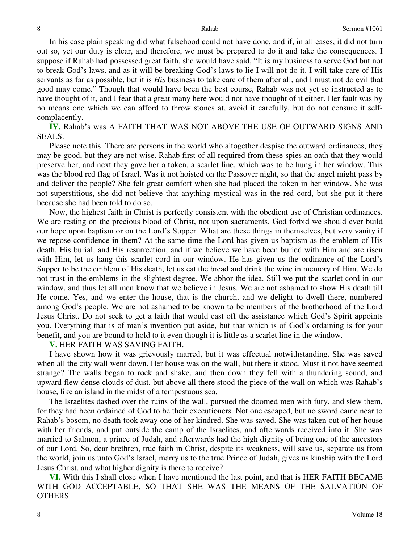In his case plain speaking did what falsehood could not have done, and if, in all cases, it did not turn out so, yet our duty is clear, and therefore, we must be prepared to do it and take the consequences. I suppose if Rahab had possessed great faith, she would have said, "It is my business to serve God but not to break God's laws, and as it will be breaking God's laws to lie I will not do it. I will take care of His servants as far as possible, but it is *His* business to take care of them after all, and I must not do evil that good may come." Though that would have been the best course, Rahab was not yet so instructed as to have thought of it, and I fear that a great many here would not have thought of it either. Her fault was by no means one which we can afford to throw stones at, avoid it carefully, but do not censure it selfcomplacently.

**IV.** Rahab's was A FAITH THAT WAS NOT ABOVE THE USE OF OUTWARD SIGNS AND SEALS.

Please note this. There are persons in the world who altogether despise the outward ordinances, they may be good, but they are not wise. Rahab first of all required from these spies an oath that they would preserve her, and next they gave her a token, a scarlet line, which was to be hung in her window. This was the blood red flag of Israel. Was it not hoisted on the Passover night, so that the angel might pass by and deliver the people? She felt great comfort when she had placed the token in her window. She was not superstitious, she did not believe that anything mystical was in the red cord, but she put it there because she had been told to do so.

Now, the highest faith in Christ is perfectly consistent with the obedient use of Christian ordinances. We are resting on the precious blood of Christ, not upon sacraments. God forbid we should ever build our hope upon baptism or on the Lord's Supper. What are these things in themselves, but very vanity if we repose confidence in them? At the same time the Lord has given us baptism as the emblem of His death, His burial, and His resurrection, and if we believe we have been buried with Him and are risen with Him, let us hang this scarlet cord in our window. He has given us the ordinance of the Lord's Supper to be the emblem of His death, let us eat the bread and drink the wine in memory of Him. We do not trust in the emblems in the slightest degree. We abhor the idea. Still we put the scarlet cord in our window, and thus let all men know that we believe in Jesus. We are not ashamed to show His death till He come. Yes, and we enter the house, that is the church, and we delight to dwell there, numbered among God's people. We are not ashamed to be known to be members of the brotherhood of the Lord Jesus Christ. Do not seek to get a faith that would cast off the assistance which God's Spirit appoints you. Everything that is of man's invention put aside, but that which is of God's ordaining is for your benefit, and you are bound to hold to it even though it is little as a scarlet line in the window.

### **V.** HER FAITH WAS SAVING FAITH.

I have shown how it was grievously marred, but it was effectual notwithstanding. She was saved when all the city wall went down. Her house was on the wall, but there it stood. Must it not have seemed strange? The walls began to rock and shake, and then down they fell with a thundering sound, and upward flew dense clouds of dust, but above all there stood the piece of the wall on which was Rahab's house, like an island in the midst of a tempestuous sea.

The Israelites dashed over the ruins of the wall, pursued the doomed men with fury, and slew them, for they had been ordained of God to be their executioners. Not one escaped, but no sword came near to Rahab's bosom, no death took away one of her kindred. She was saved. She was taken out of her house with her friends, and put outside the camp of the Israelites, and afterwards received into it. She was married to Salmon, a prince of Judah, and afterwards had the high dignity of being one of the ancestors of our Lord. So, dear brethren, true faith in Christ, despite its weakness, will save us, separate us from the world, join us unto God's Israel, marry us to the true Prince of Judah, gives us kinship with the Lord Jesus Christ, and what higher dignity is there to receive?

**VI.** With this I shall close when I have mentioned the last point, and that is HER FAITH BECAME WITH GOD ACCEPTABLE, SO THAT SHE WAS THE MEANS OF THE SALVATION OF OTHERS.